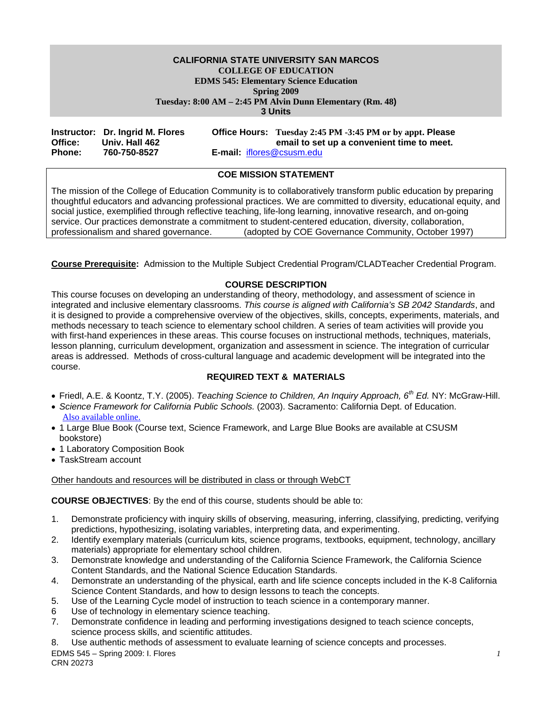#### **CALIFORNIA STATE UNIVERSITY SAN MARCOS COLLEGE OF EDUCATION EDMS 545: Elementary Science Education Spring 2009 Tuesday: 8:00 AM – 2:45 PM Alvin Dunn Elementary (Rm. 48) 3 Units**

|               | Instructor: Dr. Ingrid M. Flores |                                  | Office Hours: Tuesday 2:45 PM -3:45 PM or by appt. Please |
|---------------|----------------------------------|----------------------------------|-----------------------------------------------------------|
| Office:       | Univ. Hall 462                   |                                  | email to set up a convenient time to meet.                |
| <b>Phone:</b> | 760-750-8527                     | <b>E-mail:</b> iflores@csusm.edu |                                                           |

#### **COE MISSION STATEMENT**

The mission of the College of Education Community is to collaboratively transform public education by preparing thoughtful educators and advancing professional practices. We are committed to diversity, educational equity, and social justice, exemplified through reflective teaching, life-long learning, innovative research, and on-going service. Our practices demonstrate a commitment to student-centered education, diversity, collaboration, professionalism and shared governance. (adopted by COE Governance Community, October 1997)

**Course Prerequisite:** Admission to the Multiple Subject Credential Program/CLADTeacher Credential Program.

#### **COURSE DESCRIPTION**

This course focuses on developing an understanding of theory, methodology, and assessment of science in integrated and inclusive elementary classrooms. *This course is aligned with California's SB 2042 Standards*, and it is designed to provide a comprehensive overview of the objectives, skills, concepts, experiments, materials, and methods necessary to teach science to elementary school children. A series of team activities will provide you with first-hand experiences in these areas. This course focuses on instructional methods, techniques, materials, lesson planning, curriculum development, organization and assessment in science. The integration of curricular areas is addressed. Methods of cross-cultural language and academic development will be integrated into the course.

#### **REQUIRED TEXT & MATERIALS**

- Friedl, A.E. & Koontz, T.Y. (2005). *Teaching Science to Children, An Inquiry Approach, 6th Ed.* NY: McGraw-Hill.
- *Science Framework for California Public Schools.* (2003). Sacramento: California Dept. of Education. Also available online.
- 1 Large Blue Book (Course text, Science Framework, and Large Blue Books are available at CSUSM bookstore)
- 1 Laboratory Composition Book
- TaskStream account

#### Other handouts and resources will be distributed in class or through WebCT

**COURSE OBJECTIVES**: By the end of this course, students should be able to:

- 1. Demonstrate proficiency with inquiry skills of observing, measuring, inferring, classifying, predicting, verifying predictions, hypothesizing, isolating variables, interpreting data, and experimenting.
- 2. Identify exemplary materials (curriculum kits, science programs, textbooks, equipment, technology, ancillary materials) appropriate for elementary school children.
- 3. Demonstrate knowledge and understanding of the California Science Framework, the California Science Content Standards, and the National Science Education Standards.
- 4. Demonstrate an understanding of the physical, earth and life science concepts included in the K-8 California Science Content Standards, and how to design lessons to teach the concepts.
- 5. Use of the Learning Cycle model of instruction to teach science in a contemporary manner.
- 6 Use of technology in elementary science teaching.
- 7. Demonstrate confidence in leading and performing investigations designed to teach science concepts, science process skills, and scientific attitudes.
- 8. Use authentic methods of assessment to evaluate learning of science concepts and processes.

EDMS 545 – Spring 2009: I. Flores *1*  CRN 20273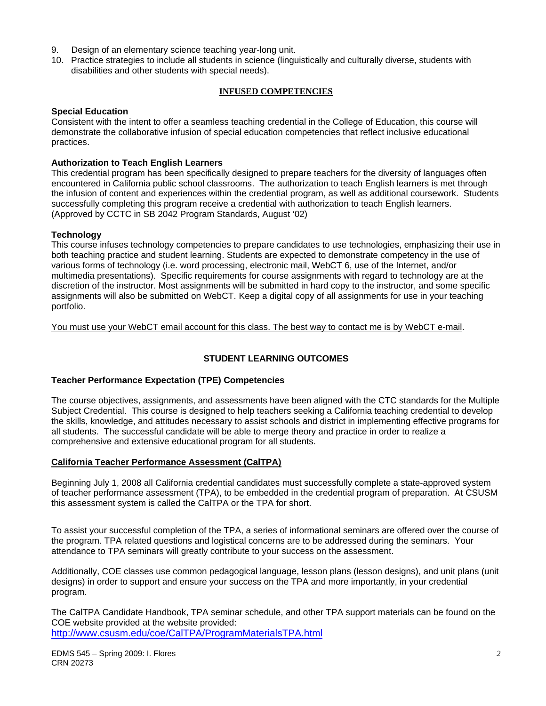- 9. Design of an elementary science teaching year-long unit.
- 10. Practice strategies to include all students in science (linguistically and culturally diverse, students with disabilities and other students with special needs).

#### **INFUSED COMPETENCIES**

#### **Special Education**

Consistent with the intent to offer a seamless teaching credential in the College of Education, this course will demonstrate the collaborative infusion of special education competencies that reflect inclusive educational practices.

#### **Authorization to Teach English Learners**

This credential program has been specifically designed to prepare teachers for the diversity of languages often encountered in California public school classrooms. The authorization to teach English learners is met through the infusion of content and experiences within the credential program, as well as additional coursework. Students successfully completing this program receive a credential with authorization to teach English learners. (Approved by CCTC in SB 2042 Program Standards, August '02)

#### **Technology**

This course infuses technology competencies to prepare candidates to use technologies, emphasizing their use in both teaching practice and student learning. Students are expected to demonstrate competency in the use of various forms of technology (i.e. word processing, electronic mail, WebCT 6, use of the Internet, and/or multimedia presentations). Specific requirements for course assignments with regard to technology are at the discretion of the instructor. Most assignments will be submitted in hard copy to the instructor, and some specific assignments will also be submitted on WebCT. Keep a digital copy of all assignments for use in your teaching portfolio.

You must use your WebCT email account for this class. The best way to contact me is by WebCT e-mail.

#### **STUDENT LEARNING OUTCOMES**

#### **Teacher Performance Expectation (TPE) Competencies**

The course objectives, assignments, and assessments have been aligned with the CTC standards for the Multiple Subject Credential. This course is designed to help teachers seeking a California teaching credential to develop the skills, knowledge, and attitudes necessary to assist schools and district in implementing effective programs for all students. The successful candidate will be able to merge theory and practice in order to realize a comprehensive and extensive educational program for all students.

#### **California Teacher Performance Assessment (CalTPA)**

Beginning July 1, 2008 all California credential candidates must successfully complete a state-approved system of teacher performance assessment (TPA), to be embedded in the credential program of preparation. At CSUSM this assessment system is called the CalTPA or the TPA for short.

To assist your successful completion of the TPA, a series of informational seminars are offered over the course of the program. TPA related questions and logistical concerns are to be addressed during the seminars. Your attendance to TPA seminars will greatly contribute to your success on the assessment.

Additionally, COE classes use common pedagogical language, lesson plans (lesson designs), and unit plans (unit designs) in order to support and ensure your success on the TPA and more importantly, in your credential program.

The CalTPA Candidate Handbook, TPA seminar schedule, and other TPA support materials can be found on the COE website provided at the website provided: http://www.csusm.edu/coe/CalTPA/ProgramMaterialsTPA.html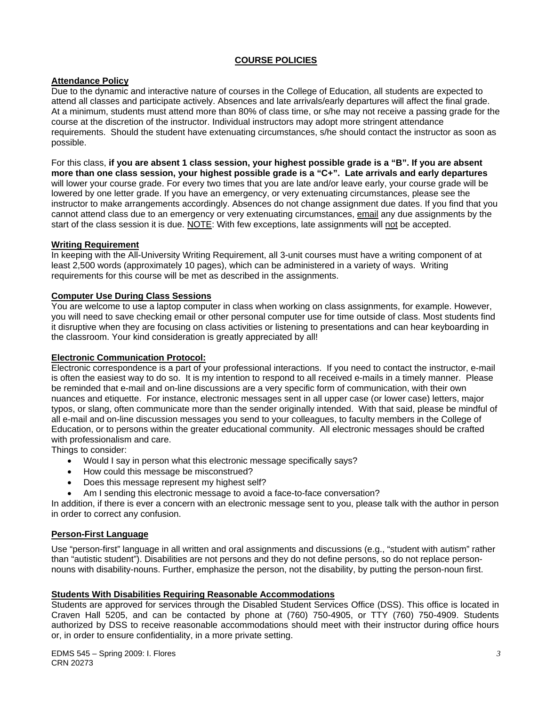#### **COURSE POLICIES**

#### **Attendance Policy**

Due to the dynamic and interactive nature of courses in the College of Education, all students are expected to attend all classes and participate actively. Absences and late arrivals/early departures will affect the final grade. At a minimum, students must attend more than 80% of class time, or s/he may not receive a passing grade for the course at the discretion of the instructor. Individual instructors may adopt more stringent attendance requirements. Should the student have extenuating circumstances, s/he should contact the instructor as soon as possible.

For this class, **if you are absent 1 class session, your highest possible grade is a "B". If you are absent more than one class session, your highest possible grade is a "C+". Late arrivals and early departures**  will lower your course grade. For every two times that you are late and/or leave early, your course grade will be lowered by one letter grade. If you have an emergency, or very extenuating circumstances, please see the instructor to make arrangements accordingly. Absences do not change assignment due dates. If you find that you cannot attend class due to an emergency or very extenuating circumstances, email any due assignments by the start of the class session it is due. NOTE: With few exceptions, late assignments will not be accepted.

#### **Writing Requirement**

In keeping with the All-University Writing Requirement, all 3-unit courses must have a writing component of at least 2,500 words (approximately 10 pages), which can be administered in a variety of ways. Writing requirements for this course will be met as described in the assignments.

#### **Computer Use During Class Sessions**

You are welcome to use a laptop computer in class when working on class assignments, for example. However, you will need to save checking email or other personal computer use for time outside of class. Most students find it disruptive when they are focusing on class activities or listening to presentations and can hear keyboarding in the classroom. Your kind consideration is greatly appreciated by all!

#### **Electronic Communication Protocol:**

Electronic correspondence is a part of your professional interactions. If you need to contact the instructor, e-mail is often the easiest way to do so. It is my intention to respond to all received e-mails in a timely manner. Please be reminded that e-mail and on-line discussions are a very specific form of communication, with their own nuances and etiquette. For instance, electronic messages sent in all upper case (or lower case) letters, major typos, or slang, often communicate more than the sender originally intended. With that said, please be mindful of all e-mail and on-line discussion messages you send to your colleagues, to faculty members in the College of Education, or to persons within the greater educational community. All electronic messages should be crafted with professionalism and care.

Things to consider:

- Would I say in person what this electronic message specifically says?
- How could this message be misconstrued?
- Does this message represent my highest self?
- Am I sending this electronic message to avoid a face-to-face conversation?

In addition, if there is ever a concern with an electronic message sent to you, please talk with the author in person in order to correct any confusion.

#### **Person-First Language**

Use "person-first" language in all written and oral assignments and discussions (e.g., "student with autism" rather than "autistic student"). Disabilities are not persons and they do not define persons, so do not replace personnouns with disability-nouns. Further, emphasize the person, not the disability, by putting the person-noun first.

#### **Students With Disabilities Requiring Reasonable Accommodations**

Students are approved for services through the Disabled Student Services Office (DSS). This office is located in Craven Hall 5205, and can be contacted by phone at (760) 750-4905, or TTY (760) 750-4909. Students authorized by DSS to receive reasonable accommodations should meet with their instructor during office hours or, in order to ensure confidentiality, in a more private setting.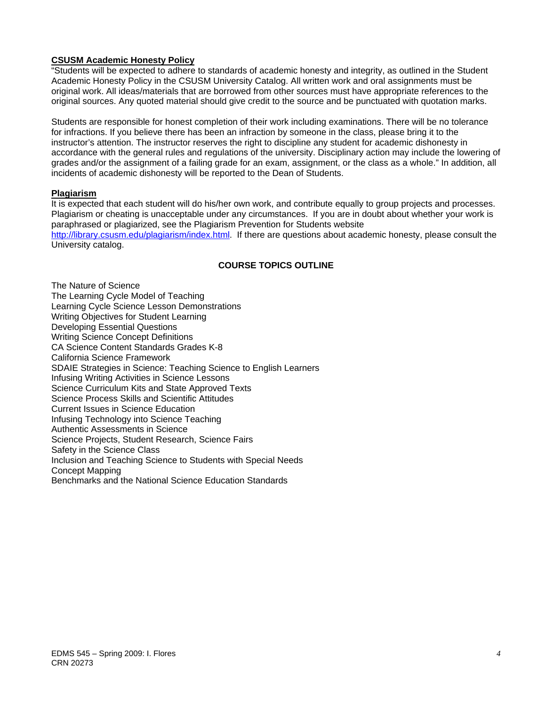#### **CSUSM Academic Honesty Policy**

"Students will be expected to adhere to standards of academic honesty and integrity, as outlined in the Student Academic Honesty Policy in the CSUSM University Catalog. All written work and oral assignments must be original work. All ideas/materials that are borrowed from other sources must have appropriate references to the original sources. Any quoted material should give credit to the source and be punctuated with quotation marks.

Students are responsible for honest completion of their work including examinations. There will be no tolerance for infractions. If you believe there has been an infraction by someone in the class, please bring it to the instructor's attention. The instructor reserves the right to discipline any student for academic dishonesty in accordance with the general rules and regulations of the university. Disciplinary action may include the lowering of grades and/or the assignment of a failing grade for an exam, assignment, or the class as a whole." In addition, all incidents of academic dishonesty will be reported to the Dean of Students.

#### **Plagiarism**

It is expected that each student will do his/her own work, and contribute equally to group projects and processes. Plagiarism or cheating is unacceptable under any circumstances. If you are in doubt about whether your work is paraphrased or plagiarized, see the Plagiarism Prevention for Students website http://library.csusm.edu/plagiarism/index.html. If there are questions about academic honesty, please consult the

University catalog.

#### **COURSE TOPICS OUTLINE**

The Nature of Science The Learning Cycle Model of Teaching Learning Cycle Science Lesson Demonstrations Writing Objectives for Student Learning Developing Essential Questions Writing Science Concept Definitions CA Science Content Standards Grades K-8 California Science Framework SDAIE Strategies in Science: Teaching Science to English Learners Infusing Writing Activities in Science Lessons Science Curriculum Kits and State Approved Texts Science Process Skills and Scientific Attitudes Current Issues in Science Education Infusing Technology into Science Teaching Authentic Assessments in Science Science Projects, Student Research, Science Fairs Safety in the Science Class Inclusion and Teaching Science to Students with Special Needs Concept Mapping Benchmarks and the National Science Education Standards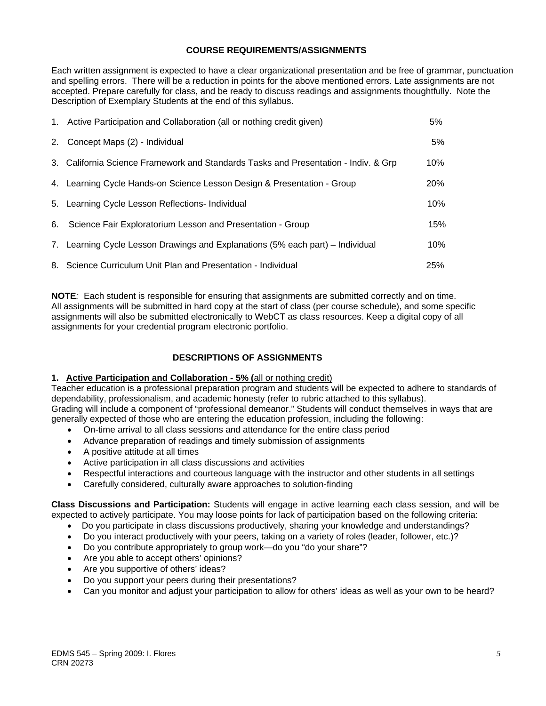#### **COURSE REQUIREMENTS/ASSIGNMENTS**

Each written assignment is expected to have a clear organizational presentation and be free of grammar, punctuation and spelling errors. There will be a reduction in points for the above mentioned errors. Late assignments are not accepted. Prepare carefully for class, and be ready to discuss readings and assignments thoughtfully. Note the Description of Exemplary Students at the end of this syllabus.

| 1. Active Participation and Collaboration (all or nothing credit given)             | 5%         |
|-------------------------------------------------------------------------------------|------------|
| 2. Concept Maps (2) - Individual                                                    | 5%         |
| 3. California Science Framework and Standards Tasks and Presentation - Indiv. & Grp | 10%        |
| 4. Learning Cycle Hands-on Science Lesson Design & Presentation - Group             | <b>20%</b> |
| 5. Learning Cycle Lesson Reflections- Individual                                    | 10%        |
| 6. Science Fair Exploratorium Lesson and Presentation - Group                       | 15%        |
| 7. Learning Cycle Lesson Drawings and Explanations (5% each part) – Individual      | 10%        |
| 8. Science Curriculum Unit Plan and Presentation - Individual                       | 25%        |

**NOTE***:* Each student is responsible for ensuring that assignments are submitted correctly and on time. All assignments will be submitted in hard copy at the start of class (per course schedule), and some specific assignments will also be submitted electronically to WebCT as class resources. Keep a digital copy of all assignments for your credential program electronic portfolio.

#### **DESCRIPTIONS OF ASSIGNMENTS**

#### **1. Active Participation and Collaboration - 5% (**all or nothing credit)

Teacher education is a professional preparation program and students will be expected to adhere to standards of dependability, professionalism, and academic honesty (refer to rubric attached to this syllabus). Grading will include a component of "professional demeanor." Students will conduct themselves in ways that are generally expected of those who are entering the education profession, including the following:

- On-time arrival to all class sessions and attendance for the entire class period
- Advance preparation of readings and timely submission of assignments
- A positive attitude at all times
- Active participation in all class discussions and activities
- Respectful interactions and courteous language with the instructor and other students in all settings
- Carefully considered, culturally aware approaches to solution-finding

**Class Discussions and Participation:** Students will engage in active learning each class session, and will be expected to actively participate. You may loose points for lack of participation based on the following criteria:

- Do you participate in class discussions productively, sharing your knowledge and understandings?
- Do you interact productively with your peers, taking on a variety of roles (leader, follower, etc.)?
- Do you contribute appropriately to group work—do you "do your share"?
- Are you able to accept others' opinions?
- Are you supportive of others' ideas?
- Do you support your peers during their presentations?
- Can you monitor and adjust your participation to allow for others' ideas as well as your own to be heard?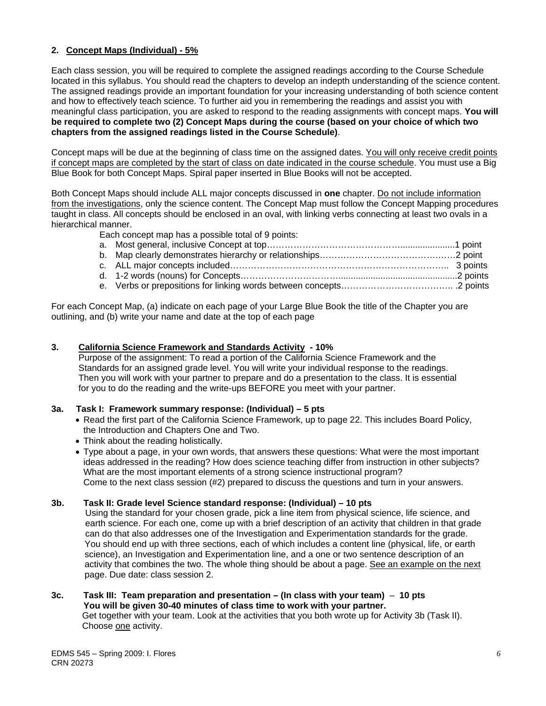#### **2. Concept Maps (Individual) - 5%**

Each class session, you will be required to complete the assigned readings according to the Course Schedule located in this syllabus. You should read the chapters to develop an indepth understanding of the science content. The assigned readings provide an important foundation for your increasing understanding of both science content and how to effectively teach science. To further aid you in remembering the readings and assist you with meaningful class participation, you are asked to respond to the reading assignments with concept maps. **You will be required to complete two (2) Concept Maps during the course (based on your choice of which two chapters from the assigned readings listed in the Course Schedule)**.

Concept maps will be due at the beginning of class time on the assigned dates. You will only receive credit points if concept maps are completed by the start of class on date indicated in the course schedule. You must use a Big Blue Book for both Concept Maps. Spiral paper inserted in Blue Books will not be accepted.

Both Concept Maps should include ALL major concepts discussed in **one** chapter. Do not include information from the investigations, only the science content. The Concept Map must follow the Concept Mapping procedures taught in class. All concepts should be enclosed in an oval, with linking verbs connecting at least two ovals in a hierarchical manner.

Each concept map has a possible total of 9 points:

For each Concept Map, (a) indicate on each page of your Large Blue Book the title of the Chapter you are outlining, and (b) write your name and date at the top of each page

#### **3. California Science Framework and Standards Activity - 10%**

 Purpose of the assignment: To read a portion of the California Science Framework and the Standards for an assigned grade level. You will write your individual response to the readings. Then you will work with your partner to prepare and do a presentation to the class. It is essential for you to do the reading and the write-ups BEFORE you meet with your partner.

#### **3a. Task I: Framework summary response: (Individual) – 5 pts**

- Read the first part of the California Science Framework, up to page 22. This includes Board Policy, the Introduction and Chapters One and Two.
- Think about the reading holistically.
- Type about a page, in your own words, that answers these questions: What were the most important ideas addressed in the reading? How does science teaching differ from instruction in other subjects? What are the most important elements of a strong science instructional program? Come to the next class session (#2) prepared to discuss the questions and turn in your answers.

#### **3b. Task II: Grade level Science standard response: (Individual) – 10 pts**

 Using the standard for your chosen grade, pick a line item from physical science, life science, and earth science. For each one, come up with a brief description of an activity that children in that grade can do that also addresses one of the Investigation and Experimentation standards for the grade. You should end up with three sections, each of which includes a content line (physical, life, or earth science), an Investigation and Experimentation line, and a one or two sentence description of an activity that combines the two. The whole thing should be about a page. See an example on the next page. Due date: class session 2.

#### **3c. Task III: Team preparation and presentation – (In class with your team)** – **10 pts You will be given 30-40 minutes of class time to work with your partner.**  Get together with your team. Look at the activities that you both wrote up for Activity 3b (Task II).

Choose one activity.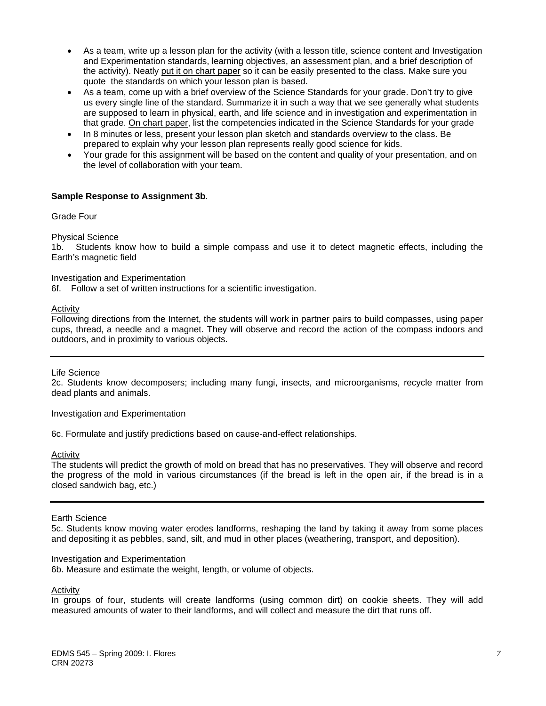- As a team, write up a lesson plan for the activity (with a lesson title, science content and Investigation and Experimentation standards, learning objectives, an assessment plan, and a brief description of the activity). Neatly put it on chart paper so it can be easily presented to the class. Make sure you quote the standards on which your lesson plan is based.
- As a team, come up with a brief overview of the Science Standards for your grade. Don't try to give us every single line of the standard. Summarize it in such a way that we see generally what students are supposed to learn in physical, earth, and life science and in investigation and experimentation in that grade. On chart paper, list the competencies indicated in the Science Standards for your grade
- In 8 minutes or less, present your lesson plan sketch and standards overview to the class. Be prepared to explain why your lesson plan represents really good science for kids.
- Your grade for this assignment will be based on the content and quality of your presentation, and on the level of collaboration with your team.

#### **Sample Response to Assignment 3b**.

Grade Four

Physical Science

1b. Students know how to build a simple compass and use it to detect magnetic effects, including the Earth's magnetic field

Investigation and Experimentation

6f. Follow a set of written instructions for a scientific investigation.

#### Activity

Following directions from the Internet, the students will work in partner pairs to build compasses, using paper cups, thread, a needle and a magnet. They will observe and record the action of the compass indoors and outdoors, and in proximity to various objects.

Life Science

2c. Students know decomposers; including many fungi, insects, and microorganisms, recycle matter from dead plants and animals.

Investigation and Experimentation

6c. Formulate and justify predictions based on cause-and-effect relationships.

**Activity** 

 the progress of the mold in various circumstances (if the bread is left in the open air, if the bread is in a The students will predict the growth of mold on bread that has no preservatives. They will observe and record closed sandwich bag, etc.)

Earth Science

5c. Students know moving water erodes landforms, reshaping the land by taking it away from some places and depositing it as pebbles, sand, silt, and mud in other places (weathering, transport, and deposition).

#### Investigation and Experimentation

6b. Measure and estimate the weight, length, or volume of objects.

Activity

In groups of four, students will create landforms (using common dirt) on cookie sheets. They will add measured amounts of water to their landforms, and will collect and measure the dirt that runs off.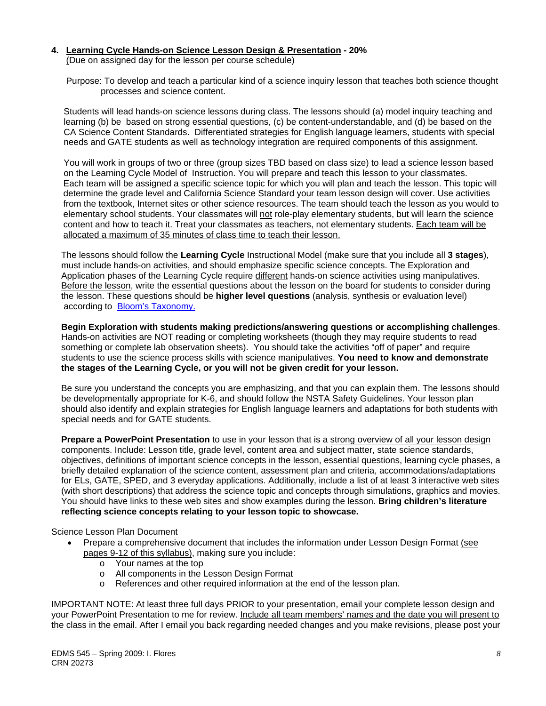### **4. Learning Cycle Hands-on Science Lesson Design & Presentation - 20%**

(Due on assigned day for the lesson per course schedule)

 Purpose: To develop and teach a particular kind of a science inquiry lesson that teaches both science thought processes and science content.

 Students will lead hands-on science lessons during class. The lessons should (a) model inquiry teaching and learning (b) be based on strong essential questions, (c) be content-understandable, and (d) be based on the CA Science Content Standards. Differentiated strategies for English language learners, students with special needs and GATE students as well as technology integration are required components of this assignment.

 You will work in groups of two or three (group sizes TBD based on class size) to lead a science lesson based on the Learning Cycle Model of Instruction. You will prepare and teach this lesson to your classmates. Each team will be assigned a specific science topic for which you will plan and teach the lesson. This topic will determine the grade level and California Science Standard your team lesson design will cover. Use activities from the textbook, Internet sites or other science resources. The team should teach the lesson as you would to elementary school students. Your classmates will not role-play elementary students, but will learn the science content and how to teach it. Treat your classmates as teachers, not elementary students. Each team will be allocated a maximum of 35 minutes of class time to teach their lesson.

 The lessons should follow the **Learning Cycle** Instructional Model (make sure that you include all **3 stages**), must include hands-on activities, and should emphasize specific science concepts. The Exploration and Application phases of the Learning Cycle require different hands-on science activities using manipulatives. Before the lesson, write the essential questions about the lesson on the board for students to consider during the lesson. These questions should be **higher level questions** (analysis, synthesis or evaluation level) according to Bloom's Taxonomy.

**Begin Exploration with students making predictions/answering questions or accomplishing challenges**. Hands-on activities are NOT reading or completing worksheets (though they may require students to read something or complete lab observation sheets). You should take the activities "off of paper" and require students to use the science process skills with science manipulatives. **You need to know and demonstrate the stages of the Learning Cycle, or you will not be given credit for your lesson.**

 Be sure you understand the concepts you are emphasizing, and that you can explain them. The lessons should be developmentally appropriate for K-6, and should follow the NSTA Safety Guidelines. Your lesson plan should also identify and explain strategies for English language learners and adaptations for both students with special needs and for GATE students.

**Prepare a PowerPoint Presentation** to use in your lesson that is a strong overview of all your lesson design components. Include: Lesson title, grade level, content area and subject matter, state science standards, objectives, definitions of important science concepts in the lesson, essential questions, learning cycle phases, a briefly detailed explanation of the science content, assessment plan and criteria, accommodations/adaptations for ELs, GATE, SPED, and 3 everyday applications. Additionally, include a list of at least 3 interactive web sites (with short descriptions) that address the science topic and concepts through simulations, graphics and movies. You should have links to these web sites and show examples during the lesson. **Bring children's literature reflecting science concepts relating to your lesson topic to showcase.** 

Science Lesson Plan Document

- Prepare a comprehensive document that includes the information under Lesson Design Format (see pages 9-12 of this syllabus), making sure you include:
	- o Your names at the top
	- o All components in the Lesson Design Format
	- o References and other required information at the end of the lesson plan.

IMPORTANT NOTE: At least three full days PRIOR to your presentation, email your complete lesson design and your PowerPoint Presentation to me for review. Include all team members' names and the date you will present to the class in the email. After I email you back regarding needed changes and you make revisions, please post your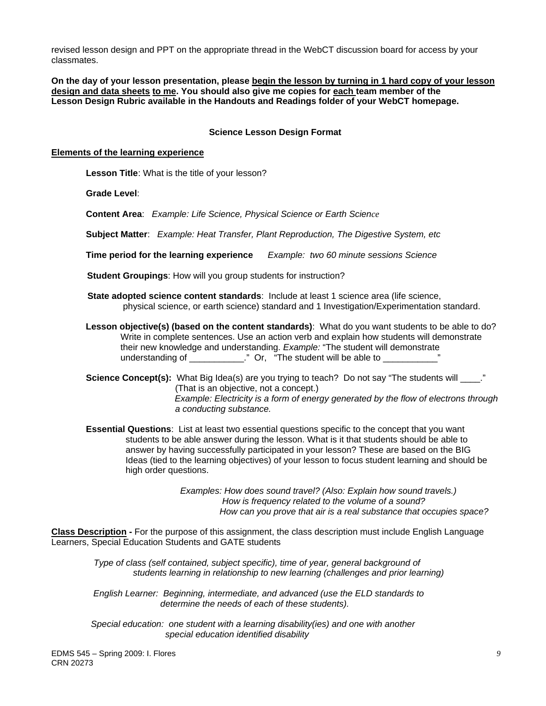classmates. revised lesson design and PPT on the appropriate thread in the WebCT discussion board for access by your

**On the day of your lesson presentation, please begin the lesson by turning in 1 hard copy of your lesson design and data sheets to me. You should also give me copies for each team member of the Lesson Design Rubric available in the Handouts and Readings folder of your WebCT homepage.** 

#### **Science Lesson Design Format**

#### **Elements of the learning experience**

 **Lesson Title**: What is the title of your lesson?

**Grade Level**:

**Content Area**: *Example: Life Science, Physical Science or Earth Science* 

**Subject Matter**: *Example: Heat Transfer, Plant Reproduction, The Digestive System, etc* 

**Time period for the learning experience** *Example: two 60 minute sessions Science* 

**Student Groupings**: How will you group students for instruction?

- **State adopted science content standards: Include at least 1 science area (life science,** physical science, or earth science) standard and 1 Investigation/Experimentation standard.
- **Lesson objective(s) (based on the content standards)**: What do you want students to be able to do? Write in complete sentences. Use an action verb and explain how students will demonstrate their new knowledge and understanding. *Example:* "The student will demonstrate understanding of \_\_\_\_\_\_\_\_\_\_\_\_." Or, "The student will be able to \_\_\_\_\_\_\_\_\_\_\_\_'

**Science Concept(s):** What Big Idea(s) are you trying to teach? Do not say "The students will  $\cdot$ ." (That is an objective, not a concept.) *Example: Electricity is a form of energy generated by the flow of electrons through a conducting substance.* 

 **Essential Questions**: List at least two essential questions specific to the concept that you want students to be able answer during the lesson. What is it that students should be able to answer by having successfully participated in your lesson? These are based on the BIG Ideas (tied to the learning objectives) of your lesson to focus student learning and should be high order questions.

> *Examples: How does sound travel? (Also: Explain how sound travels.) How is frequency related to the volume of a sound? How can you prove that air is a real substance that occupies space?*

**Class Description -** For the purpose of this assignment, the class description must include English Language Learners, Special Education Students and GATE students

*Type of class (self contained, subject specific), time of year, general background of students learning in relationship to new learning (challenges and prior learning)* 

 *English Learner: Beginning, intermediate, and advanced (use the ELD standards to determine the needs of each of these students).* 

 *Special education: one student with a learning disability(ies) and one with another special education identified disability*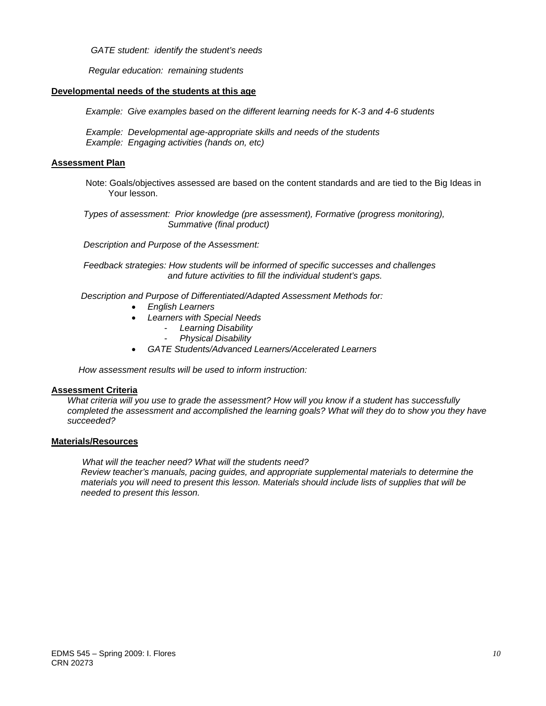*GATE student: identify the student's needs* 

 *Regular education: remaining students* 

#### **Developmental needs of the students at this age**

*Example: Give examples based on the different learning needs for K-3 and 4-6 students* 

 *Example: Developmental age-appropriate skills and needs of the students Example: Engaging activities (hands on, etc)* 

#### **Assessment Plan**

Note: Goals/objectives assessed are based on the content standards and are tied to the Big Ideas in Your lesson.

 *Types of assessment: Prior knowledge (pre assessment), Formative (progress monitoring), Summative (final product)* 

 *Description and Purpose of the Assessment:* 

 *Feedback strategies: How students will be informed of specific successes and challenges and future activities to fill the individual student's gaps.*

 *Description and Purpose of Differentiated/Adapted Assessment Methods for:* 

- *English Learners*
- *Learners with Special Needs* 
	- *Learning Disability*
	- *Physical Disability*
- *GATE Students/Advanced Learners/Accelerated Learners*

 *How assessment results will be used to inform instruction:*

#### **Assessment Criteria**

*What criteria will you use to grade the assessment? How will you know if a student has successfully completed the assessment and accomplished the learning goals? What will they do to show you they have succeeded?* 

#### **Materials/Resources**

 *What will the teacher need? What will the students need? Review teacher's manuals, pacing guides, and appropriate supplemental materials to determine the materials you will need to present this lesson. Materials should include lists of supplies that will be needed to present this lesson.*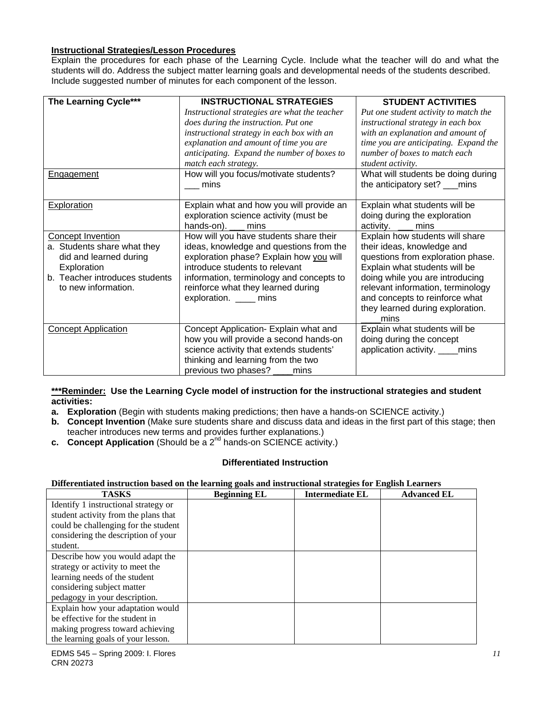#### **Instructional Strategies/Lesson Procedures**

Explain the procedures for each phase of the Learning Cycle. Include what the teacher will do and what the Explain the procedures for each phase of the Learning Cycle. Include what the teacher will do and what the<br>students will do. Address the subject matter learning goals and developmental needs of the students described.<br>Incl

| The Learning Cycle***          | <b>INSTRUCTIONAL STRATEGIES</b>               | <b>STUDENT ACTIVITIES</b>             |
|--------------------------------|-----------------------------------------------|---------------------------------------|
|                                | Instructional strategies are what the teacher | Put one student activity to match the |
|                                | does during the instruction. Put one          | instructional strategy in each box    |
|                                | instructional strategy in each box with an    | with an explanation and amount of     |
|                                | explanation and amount of time you are        | time you are anticipating. Expand the |
|                                | anticipating. Expand the number of boxes to   | number of boxes to match each         |
|                                | match each strategy.                          | student activity.                     |
| <b>Engagement</b>              | How will you focus/motivate students?         | What will students be doing during    |
|                                | mins                                          | the anticipatory set? ___mins         |
|                                |                                               |                                       |
| <b>Exploration</b>             | Explain what and how you will provide an      | Explain what students will be         |
|                                | exploration science activity (must be         | doing during the exploration          |
|                                | hands-on). ___ mins                           | activity. <u>__</u> mins              |
| <b>Concept Invention</b>       | How will you have students share their        | Explain how students will share       |
| a. Students share what they    | ideas, knowledge and questions from the       | their ideas, knowledge and            |
| did and learned during         | exploration phase? Explain how you will       | questions from exploration phase.     |
| Exploration                    | introduce students to relevant                | Explain what students will be         |
| b. Teacher introduces students | information, terminology and concepts to      | doing while you are introducing       |
| to new information.            | reinforce what they learned during            | relevant information, terminology     |
|                                | exploration. _____ mins                       | and concepts to reinforce what        |
|                                |                                               | they learned during exploration.      |
|                                |                                               | mins                                  |
| <b>Concept Application</b>     | Concept Application- Explain what and         | Explain what students will be         |
|                                | how you will provide a second hands-on        | doing during the concept              |
|                                | science activity that extends students'       | application activity. ____mins        |
|                                | thinking and learning from the two            |                                       |
|                                | previous two phases? ____<br>mins             |                                       |

#### **\*\*\*Reminder: Use the Learning Cycle model of instruction for the instructional strategies and student activities:**

- **a. Exploration** (Begin with students making predictions; then have a hands-on SCIENCE activity.)
- **b. Concept Invention** (Make sure students share and discuss data and ideas in the first part of this stage; then teacher introduces new terms and provides further explanations.)
- **c.** Concept Application (Should be a 2<sup>nd</sup> hands-on SCIENCE activity.)

#### **Differentiated Instruction**

#### **Differentiated instruction based on the learning goals and instructional strategies for English Learners**

| <b>TASKS</b>                         | <b>Beginning EL</b> | <b>Intermediate EL</b> | <b>Advanced EL</b> |
|--------------------------------------|---------------------|------------------------|--------------------|
| Identify 1 instructional strategy or |                     |                        |                    |
| student activity from the plans that |                     |                        |                    |
| could be challenging for the student |                     |                        |                    |
| considering the description of your  |                     |                        |                    |
| student.                             |                     |                        |                    |
| Describe how you would adapt the     |                     |                        |                    |
| strategy or activity to meet the     |                     |                        |                    |
| learning needs of the student        |                     |                        |                    |
| considering subject matter           |                     |                        |                    |
| pedagogy in your description.        |                     |                        |                    |
| Explain how your adaptation would    |                     |                        |                    |
| be effective for the student in      |                     |                        |                    |
| making progress toward achieving     |                     |                        |                    |
| the learning goals of your lesson.   |                     |                        |                    |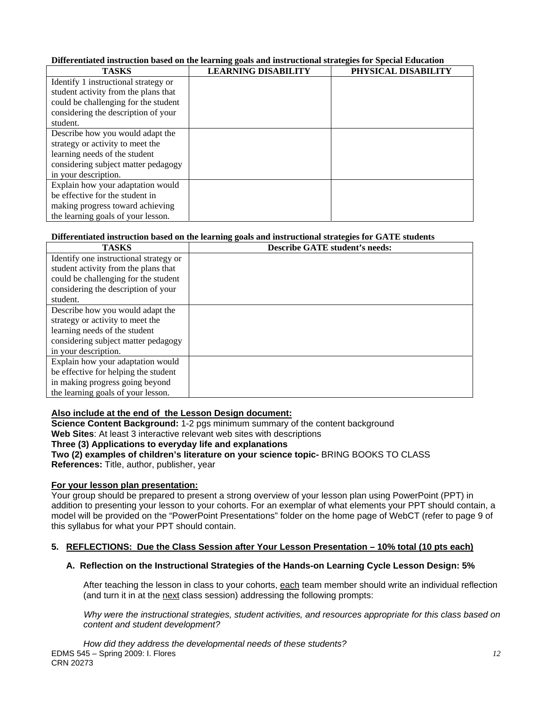#### **Differentiated instruction based on the learning goals and instructional strategies for Special Education**

| <b>TASKS</b>                         | <b>LEARNING DISABILITY</b> | PHYSICAL DISABILITY |
|--------------------------------------|----------------------------|---------------------|
| Identify 1 instructional strategy or |                            |                     |
| student activity from the plans that |                            |                     |
| could be challenging for the student |                            |                     |
| considering the description of your  |                            |                     |
| student.                             |                            |                     |
| Describe how you would adapt the     |                            |                     |
| strategy or activity to meet the     |                            |                     |
| learning needs of the student        |                            |                     |
| considering subject matter pedagogy  |                            |                     |
| in your description.                 |                            |                     |
| Explain how your adaptation would    |                            |                     |
| be effective for the student in      |                            |                     |
| making progress toward achieving     |                            |                     |
| the learning goals of your lesson.   |                            |                     |

#### **Differentiated instruction based on the learning goals and instructional strategies for GATE students**

| <b>TASKS</b>                           | Describe GATE student's needs: |
|----------------------------------------|--------------------------------|
| Identify one instructional strategy or |                                |
| student activity from the plans that   |                                |
| could be challenging for the student   |                                |
| considering the description of your    |                                |
| student.                               |                                |
| Describe how you would adapt the       |                                |
| strategy or activity to meet the       |                                |
| learning needs of the student          |                                |
| considering subject matter pedagogy    |                                |
| in your description.                   |                                |
| Explain how your adaptation would      |                                |
| be effective for helping the student   |                                |
| in making progress going beyond        |                                |
| the learning goals of your lesson.     |                                |

#### **Also include at the end of the Lesson Design document:**

**Science Content Background:** 1-2 pgs minimum summary of the content background **Web Sites**: At least 3 interactive relevant web sites with descriptions

#### **Three (3) Applications to everyday life and explanations**

**Two (2) examples of children's literature on your science topic-** BRING BOOKS TO CLASS

**References:** Title, author, publisher, year

#### **For your lesson plan presentation:**

Your group should be prepared to present a strong overview of your lesson plan using PowerPoint (PPT) in addition to presenting your lesson to your cohorts. For an exemplar of what elements your PPT should contain, a model will be provided on the "PowerPoint Presentations" folder on the home page of WebCT (refer to page 9 of this syllabus for what your PPT should contain.

#### **5. REFLECTIONS: Due the Class Session after Your Lesson Presentation – 10% total (10 pts each)**

#### **A. Reflection on the Instructional Strategies of the Hands-on Learning Cycle Lesson Design: 5%**

After teaching the lesson in class to your cohorts, each team member should write an individual reflection (and turn it in at the next class session) addressing the following prompts:

 *Why were the instructional strategies, student activities, and resources appropriate for this class based on content and student development?*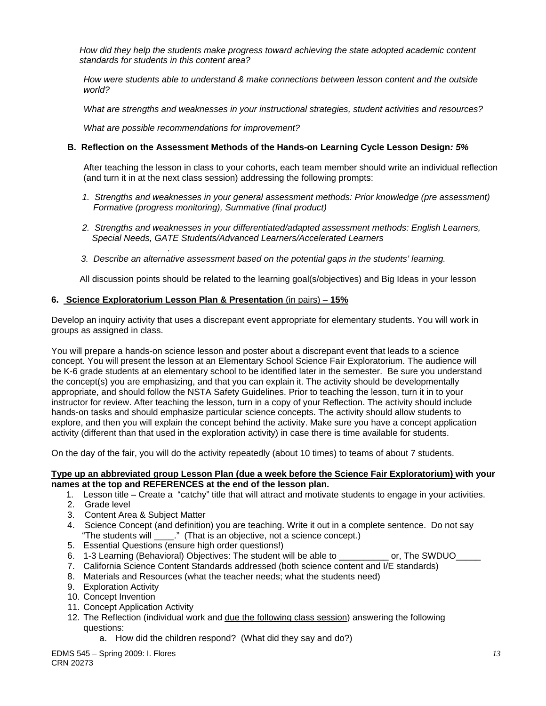*How did they help the students make progress toward achieving the state adopted academic content standards for students in this content area?* 

*How were students able to understand & make connections between lesson content and the outside world?* 

*What are strengths and weaknesses in your instructional strategies, student activities and resources?* 

 *What are possible recommendations for improvement?* 

#### **B. Reflection on the Assessment Methods of the Hands-on Learning Cycle Lesson Design***: 5%*

After teaching the lesson in class to your cohorts, each team member should write an individual reflection (and turn it in at the next class session) addressing the following prompts:

- 1. Strengths and weaknesses in your general assessment methods: Prior knowledge (pre assessment)  *Formative (progress monitoring), Summative (final product)*
- *2. Strengths and weaknesses in your differentiated/adapted assessment methods: English Learners, Special Needs, GATE Students/Advanced Learners/Accelerated Learners*
- *3. Describe an alternative assessment based on the potential gaps in the students' learning.*

All discussion points should be related to the learning goal(s/objectives) and Big Ideas in your lesson

#### **6. Science Exploratorium Lesson Plan & Presentation** (in pairs) – **15%**

Develop an inquiry activity that uses a discrepant event appropriate for elementary students. You will work in groups as assigned in class.

You will prepare a hands-on science lesson and poster about a discrepant event that leads to a science concept. You will present the lesson at an Elementary School Science Fair Exploratorium. The audience will be K-6 grade students at an elementary school to be identified later in the semester. Be sure you understand the concept(s) you are emphasizing, and that you can explain it. The activity should be developmentally appropriate, and should follow the NSTA Safety Guidelines. Prior to teaching the lesson, turn it in to your instructor for review. After teaching the lesson, turn in a copy of your Reflection. The activity should include hands-on tasks and should emphasize particular science concepts. The activity should allow students to explore, and then you will explain the concept behind the activity. Make sure you have a concept application activity (different than that used in the exploration activity) in case there is time available for students.

On the day of the fair, you will do the activity repeatedly (about 10 times) to teams of about 7 students.

#### **Type up an abbreviated group Lesson Plan (due a week before the Science Fair Exploratorium) with your names at the top and REFERENCES at the end of the lesson plan.**

- 1. Lesson title Create a "catchy" title that will attract and motivate students to engage in your activities.
- 2. Grade level

 *.* 

- 3. Content Area & Subject Matter
- 4. Science Concept (and definition) you are teaching. Write it out in a complete sentence. Do not say "The students will \_\_\_\_." (That is an objective, not a science concept.)
- 5. Essential Questions (ensure high order questions!)
- 6. 1-3 Learning (Behavioral) Objectives: The student will be able to \_\_\_\_\_\_\_\_\_\_ or, The SWDUO
- 7. California Science Content Standards addressed (both science content and I/E standards)
- 8. Materials and Resources (what the teacher needs; what the students need)
- 9. Exploration Activity
- 10. Concept Invention
- 11. Concept Application Activity
- 12. The Reflection (individual work and due the following class session) answering the following questions:
	- a. How did the children respond? (What did they say and do?)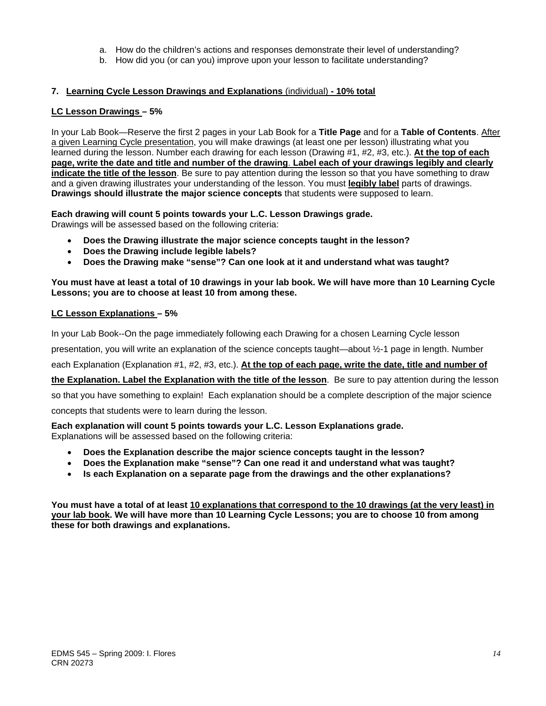- a. How do the children's actions and responses demonstrate their level of understanding?
- b. How did you (or can you) improve upon your lesson to facilitate understanding?

# 7. <u>Learning Cycle Lesson Drawings and Explanations (individual) - 10% total</u><br>LC Lesson Drawings – 5%

In your Lab Book—Reserve the first 2 pages in your Lab Book for a **Title Page** and for a **Table of Contents**. After a given Learning Cycle presentation, you will make drawings (at least one per lesson) illustrating what you learned during the lesson. Number each drawing for each lesson (Drawing #1, #2, #3, etc.). **At the top of each page, write the date and title and number of the drawing**. **Label each of your drawings legibly and clearly indicate the title of the lesson**. Be sure to pay attention during the lesson so that you have something to draw and a given drawing illustrates your understanding of the lesson. You must **legibly label** parts of drawings. **Drawings should illustrate the major science concepts** that students were supposed to learn.

**Each drawing will count 5 points towards your L.C. Lesson Drawings grade.**  Drawings will be assessed based on the following criteria:

- **Does the Drawing illustrate the major science concepts taught in the lesson?**
- **Does the Drawing include legible labels?**
- **Does the Drawing make "sense"? Can one look at it and understand what was taught?**

#### **You must have at least a total of 10 drawings in your lab book. We will have more than 10 Learning Cycle Lessons; you are to choose at least 10 from among these.**

#### **LC Lesson Explanations – 5%**

In your Lab Book--On the page immediately following each Drawing for a chosen Learning Cycle lesson

presentation, you will write an explanation of the science concepts taught—about ½-1 page in length. Number

each Explanation (Explanation #1, #2, #3, etc.). **At the top of each page, write the date, title and number of** 

**the Explanation. Label the Explanation with the title of the lesson**. Be sure to pay attention during the lesson

so that you have something to explain! Each explanation should be a complete description of the major science

concepts that students were to learn during the lesson.

**Each explanation will count 5 points towards your L.C. Lesson Explanations grade.**  Explanations will be assessed based on the following criteria:

- **Does the Explanation describe the major science concepts taught in the lesson?**
- **Does the Explanation make "sense"? Can one read it and understand what was taught?**
- **Is each Explanation on a separate page from the drawings and the other explanations?**

**You must have a total of at least 10 explanations that correspond to the 10 drawings (at the very least) in your lab book. We will have more than 10 Learning Cycle Lessons; you are to choose 10 from among these for both drawings and explanations.**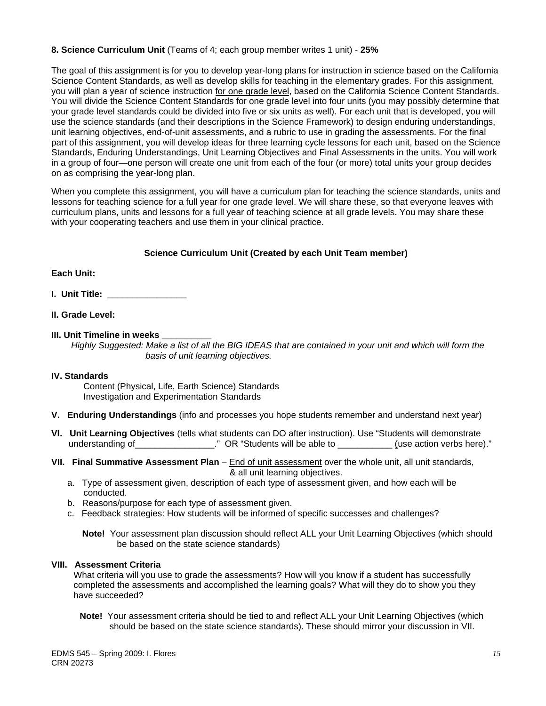#### **8. Science Curriculum Unit** (Teams of 4; each group member writes 1 unit) - **25%**

The goal of this assignment is for you to develop year-long plans for instruction in science based on the California Science Content Standards, as well as develop skills for teaching in the elementary grades. For this assignment, you will plan a year of science instruction for one grade level, based on the California Science Content Standards. You will divide the Science Content Standards for one grade level into four units (you may possibly determine that your grade level standards could be divided into five or six units as well). For each unit that is developed, you will use the science standards (and their descriptions in the Science Framework) to design enduring understandings, unit learning objectives, end-of-unit assessments, and a rubric to use in grading the assessments. For the final part of this assignment, you will develop ideas for three learning cycle lessons for each unit, based on the Science Standards, Enduring Understandings, Unit Learning Objectives and Final Assessments in the units. You will work in a group of four—one person will create one unit from each of the four (or more) total units your group decides on as comprising the year-long plan.

When you complete this assignment, you will have a curriculum plan for teaching the science standards, units and lessons for teaching science for a full year for one grade level. We will share these, so that everyone leaves with curriculum plans, units and lessons for a full year of teaching science at all grade levels. You may share these with your cooperating teachers and use them in your clinical practice.

#### **Science Curriculum Unit (Created by each Unit Team member)**

#### **Each Unit:**

- **I. Unit Title: \_\_\_\_\_\_\_\_\_\_\_\_\_\_\_\_**
- **II. Grade Level:**
- **III. Unit Timeline in weeks**

*Highly Suggested: Make a list of all the BIG IDEAS that are contained in your unit and which will form the basis of unit learning objectives.* 

#### **IV. Standards**

Content (Physical, Life, Earth Science) Standards Investigation and Experimentation Standards

- **V. Enduring Understandings** (info and processes you hope students remember and understand next year)
- **VI. Unit Learning Objectives** (tells what students can DO after instruction). Use "Students will demonstrate understanding of The Compact Allen Compact Allen Compact Compact Compact Compact Compact Compact Compact Compa<br>
Understanding of The Compact Compact Compact Compact Compact Compact Compact Compact Compact Compact Compact C
- **VII. Final Summative Assessment Plan**  End of unit assessment over the whole unit, all unit standards, & all unit learning objectives.
	- a. Type of assessment given, description of each type of assessment given, and how each will be conducted.
	- b. Reasons/purpose for each type of assessment given.
	- c. Feedback strategies: How students will be informed of specific successes and challenges?

 **Note!** Your assessment plan discussion should reflect ALL your Unit Learning Objectives (which should be based on the state science standards)

#### **VIII. Assessment Criteria**

What criteria will you use to grade the assessments? How will you know if a student has successfully completed the assessments and accomplished the learning goals? What will they do to show you they have succeeded?

**Note!** Your assessment criteria should be tied to and reflect ALL your Unit Learning Objectives (which should be based on the state science standards). These should mirror your discussion in VII.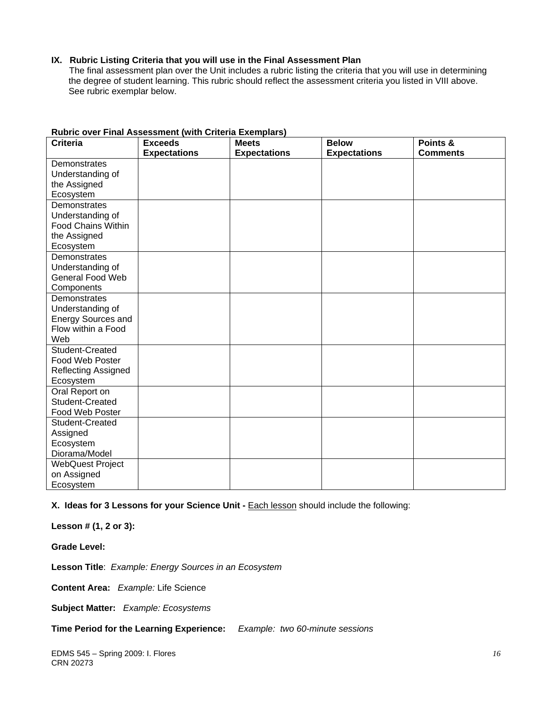#### **IX. Rubric Listing Criteria that you will use in the Final Assessment Plan**

The final assessment plan over the Unit includes a rubric listing the criteria that you will use in determining the degree of student learning. This rubric should reflect the assessment criteria you listed in VIII above. See rubric exemplar below.

| <b>Criteria</b>           | <b>Exceeds</b>      | .<br><b>Meets</b>   | <b>Below</b>        | Points &        |
|---------------------------|---------------------|---------------------|---------------------|-----------------|
|                           | <b>Expectations</b> | <b>Expectations</b> | <b>Expectations</b> | <b>Comments</b> |
| Demonstrates              |                     |                     |                     |                 |
| Understanding of          |                     |                     |                     |                 |
| the Assigned              |                     |                     |                     |                 |
| Ecosystem                 |                     |                     |                     |                 |
| Demonstrates              |                     |                     |                     |                 |
| Understanding of          |                     |                     |                     |                 |
| <b>Food Chains Within</b> |                     |                     |                     |                 |
| the Assigned              |                     |                     |                     |                 |
| Ecosystem                 |                     |                     |                     |                 |
| Demonstrates              |                     |                     |                     |                 |
| Understanding of          |                     |                     |                     |                 |
| <b>General Food Web</b>   |                     |                     |                     |                 |
| Components                |                     |                     |                     |                 |
| Demonstrates              |                     |                     |                     |                 |
| Understanding of          |                     |                     |                     |                 |
| <b>Energy Sources and</b> |                     |                     |                     |                 |
| Flow within a Food        |                     |                     |                     |                 |
| Web                       |                     |                     |                     |                 |
| Student-Created           |                     |                     |                     |                 |
| Food Web Poster           |                     |                     |                     |                 |
| Reflecting Assigned       |                     |                     |                     |                 |
| Ecosystem                 |                     |                     |                     |                 |
| Oral Report on            |                     |                     |                     |                 |
| Student-Created           |                     |                     |                     |                 |
| Food Web Poster           |                     |                     |                     |                 |
| Student-Created           |                     |                     |                     |                 |
| Assigned                  |                     |                     |                     |                 |
| Ecosystem                 |                     |                     |                     |                 |
| Diorama/Model             |                     |                     |                     |                 |
| <b>WebQuest Project</b>   |                     |                     |                     |                 |
| on Assigned               |                     |                     |                     |                 |
| Ecosystem                 |                     |                     |                     |                 |

#### **Rubric over Final Assessment (with Criteria Exemplars)**

**X. Ideas for 3 Lessons for your Science Unit - <b>Each lesson should include the following:** 

**Lesson # (1, 2 or 3):** 

**Grade Level:** 

**Lesson Title**: *Example: Energy Sources in an Ecosystem* 

**Content Area:** *Example:* Life Science

**Subject Matter:** *Example: Ecosystems* 

**Time Period for the Learning Experience:** *Example: two 60-minute sessions*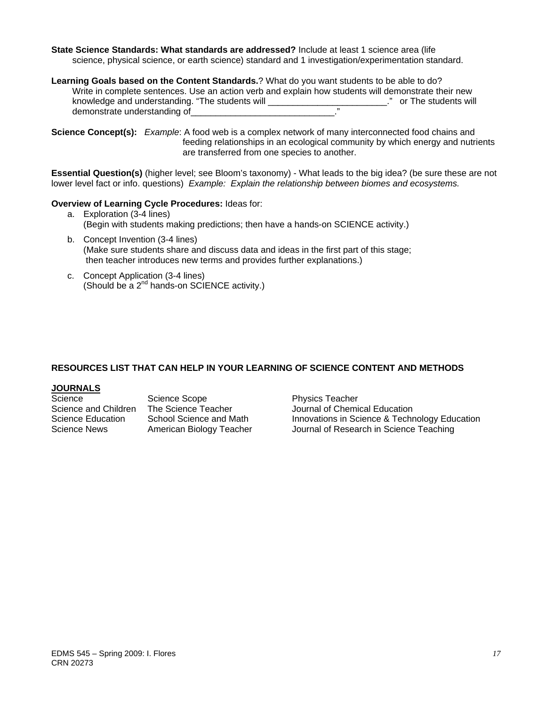**State Science Standards: What standards are addressed?** Include at least 1 science area (life science, physical science, or earth science) standard and 1 investigation/experimentation standard.

**Learning Goals based on the Content Standards.**? What do you want students to be able to do? Write in complete sentences. Use an action verb and explain how students will demonstrate their new knowledge and understanding. "The students will \_\_\_\_\_\_\_\_\_\_\_\_\_\_\_\_\_\_\_\_\_\_\_\_." or The students will demonstrate understanding of \_\_\_\_\_\_\_\_\_\_\_\_\_\_\_\_\_\_\_\_\_\_\_\_\_\_\_\_\_\_\_\_\_\_."

**Science Concept(s):** *Example*: A food web is a complex network of many interconnected food chains and feeding relationships in an ecological community by which energy and nutrients are transferred from one species to another.

**Essential Question(s)** (higher level; see Bloom's taxonomy) - What leads to the big idea? (be sure these are not lower level fact or info. questions) *Example: Explain the relationship between biomes and ecosystems.* 

#### **Overview of Learning Cycle Procedures:** Ideas for:

- a. Exploration (3-4 lines) (Begin with students making predictions; then have a hands-on SCIENCE activity.)
- b. Concept Invention (3-4 lines) (Make sure students share and discuss data and ideas in the first part of this stage; then teacher introduces new terms and provides further explanations.)
- c. Concept Application (3-4 lines) (Should be a 2nd hands-on SCIENCE activity.)

#### **RESOURCES LIST THAT CAN HELP IN YOUR LEARNING OF SCIENCE CONTENT AND METHODS**

## **JOURNALS**

| Science              | Science Scope            | <b>Physics Teacher</b>                  |
|----------------------|--------------------------|-----------------------------------------|
| Science and Children | The Science Teacher      | Journal of Chemical Education           |
| Science Education    | School Science and Math  | Innovations in Science & Technology Edu |
| Science News         | American Biology Teacher | Journal of Research in Science Teaching |

Math **Innovations in Science & Technology Education**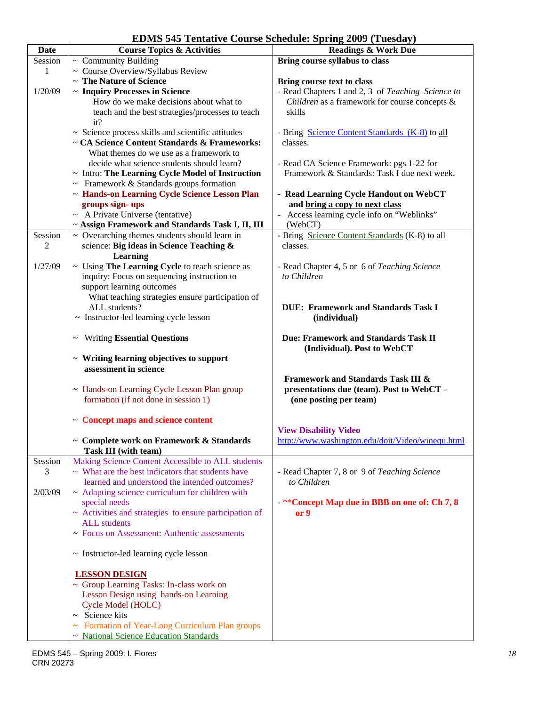**EDMS 545 Tentative Course Schedule: Spring 2009 (Tuesday)** 

| <b>Date</b> | EDIMS 345 Temative Course Schedule. Spring 2007 (Tuesuay)<br><b>Course Topics &amp; Activities</b> | <b>Readings &amp; Work Due</b>                                                                     |
|-------------|----------------------------------------------------------------------------------------------------|----------------------------------------------------------------------------------------------------|
| Session     |                                                                                                    |                                                                                                    |
|             | $\sim$ Community Building                                                                          | Bring course syllabus to class                                                                     |
| 1           | ~ Course Overview/Syllabus Review<br>~ The Nature of Science                                       |                                                                                                    |
|             |                                                                                                    | Bring course text to class                                                                         |
| 1/20/09     | ~ Inquiry Processes in Science<br>How do we make decisions about what to                           | - Read Chapters 1 and 2, 3 of Teaching Science to<br>Children as a framework for course concepts & |
|             |                                                                                                    |                                                                                                    |
|             | teach and the best strategies/processes to teach<br>it?                                            | skills                                                                                             |
|             | ~ Science process skills and scientific attitudes                                                  | - Bring Science Content Standards (K-8) to all                                                     |
|             | ~ CA Science Content Standards & Frameworks:                                                       | classes.                                                                                           |
|             | What themes do we use as a framework to                                                            |                                                                                                    |
|             | decide what science students should learn?                                                         | - Read CA Science Framework: pgs 1-22 for                                                          |
|             | $\sim$ Intro: The Learning Cycle Model of Instruction                                              | Framework & Standards: Task I due next week.                                                       |
|             | $\sim$ Framework & Standards groups formation                                                      |                                                                                                    |
|             | ~ Hands-on Learning Cycle Science Lesson Plan                                                      | - Read Learning Cycle Handout on WebCT                                                             |
|             | groups sign-ups                                                                                    | and bring a copy to next class                                                                     |
|             | $\sim$ A Private Universe (tentative)                                                              | Access learning cycle info on "Weblinks"                                                           |
|             | ~ Assign Framework and Standards Task I, II, III                                                   | (WebCT)                                                                                            |
| Session     | $\sim$ Overarching themes students should learn in                                                 | - Bring Science Content Standards (K-8) to all                                                     |
| 2           | science: Big ideas in Science Teaching &<br>Learning                                               | classes.                                                                                           |
| 1/27/09     | ~ Using The Learning Cycle to teach science as                                                     | - Read Chapter 4, 5 or 6 of Teaching Science                                                       |
|             | inquiry: Focus on sequencing instruction to                                                        | to Children                                                                                        |
|             | support learning outcomes                                                                          |                                                                                                    |
|             | What teaching strategies ensure participation of                                                   |                                                                                                    |
|             | ALL students?                                                                                      | <b>DUE: Framework and Standards Task I</b>                                                         |
|             | ~ Instructor-led learning cycle lesson                                                             | (individual)                                                                                       |
|             |                                                                                                    |                                                                                                    |
|             | <b>Writing Essential Questions</b><br>$\thicksim$                                                  | <b>Due: Framework and Standards Task II</b><br>(Individual). Post to WebCT                         |
|             | $\sim$ Writing learning objectives to support                                                      |                                                                                                    |
|             | assessment in science                                                                              |                                                                                                    |
|             |                                                                                                    | <b>Framework and Standards Task III &amp;</b>                                                      |
|             | ~ Hands-on Learning Cycle Lesson Plan group                                                        | presentations due (team). Post to WebCT -                                                          |
|             | formation (if not done in session 1)                                                               | (one posting per team)                                                                             |
|             |                                                                                                    |                                                                                                    |
|             | ~ Concept maps and science content                                                                 |                                                                                                    |
|             |                                                                                                    | <b>View Disability Video</b>                                                                       |
|             | ~ Complete work on Framework & Standards                                                           | http://www.washington.edu/doit/Video/winequ.html                                                   |
|             | Task III (with team)                                                                               |                                                                                                    |
| Session     | Making Science Content Accessible to ALL students                                                  |                                                                                                    |
| 3           | $\sim$ What are the best indicators that students have                                             | - Read Chapter 7, 8 or 9 of Teaching Science                                                       |
|             | learned and understood the intended outcomes?                                                      | to Children                                                                                        |
| 2/03/09     | $\sim$ Adapting science curriculum for children with                                               |                                                                                                    |
|             | special needs                                                                                      | - ** Concept Map due in BBB on one of: Ch 7, 8                                                     |
|             | $\sim$ Activities and strategies to ensure participation of                                        | or 9                                                                                               |
|             | <b>ALL</b> students                                                                                |                                                                                                    |
|             | ~ Focus on Assessment: Authentic assessments                                                       |                                                                                                    |
|             | $\sim$ Instructor-led learning cycle lesson                                                        |                                                                                                    |
|             |                                                                                                    |                                                                                                    |
|             | <b>LESSON DESIGN</b>                                                                               |                                                                                                    |
|             | ~ Group Learning Tasks: In-class work on                                                           |                                                                                                    |
|             | Lesson Design using hands-on Learning                                                              |                                                                                                    |
|             | Cycle Model (HOLC)                                                                                 |                                                                                                    |
|             | ~ Science kits                                                                                     |                                                                                                    |
|             | ~ Formation of Year-Long Curriculum Plan groups                                                    |                                                                                                    |
|             | ~ National Science Education Standards                                                             |                                                                                                    |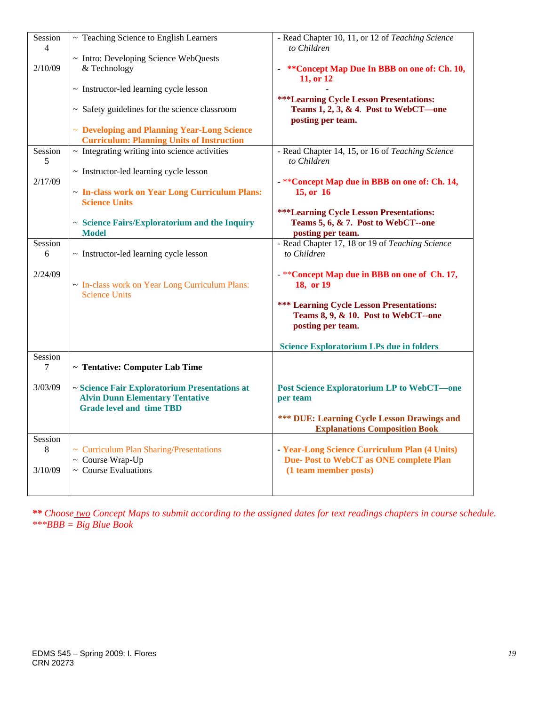| Session<br>$\overline{4}$ | ~ Teaching Science to English Learners                                                                                     | - Read Chapter 10, 11, or 12 of Teaching Science<br>to Children                                                  |
|---------------------------|----------------------------------------------------------------------------------------------------------------------------|------------------------------------------------------------------------------------------------------------------|
|                           | ~ Intro: Developing Science WebQuests                                                                                      |                                                                                                                  |
| 2/10/09                   | & Technology                                                                                                               | ** Concept Map Due In BBB on one of: Ch. 10,                                                                     |
|                           |                                                                                                                            | 11, or 12                                                                                                        |
|                           | $\sim$ Instructor-led learning cycle lesson                                                                                |                                                                                                                  |
|                           | $\sim$ Safety guidelines for the science classroom                                                                         | <b>***Learning Cycle Lesson Presentations:</b><br>Teams $1, 2, 3, \& 4$ . Post to WebCT—one<br>posting per team. |
|                           | ~ Developing and Planning Year-Long Science<br><b>Curriculum: Planning Units of Instruction</b>                            |                                                                                                                  |
| Session<br>5              | $\sim$ Integrating writing into science activities                                                                         | - Read Chapter 14, 15, or 16 of Teaching Science<br>to Children                                                  |
|                           | ~ Instructor-led learning cycle lesson                                                                                     |                                                                                                                  |
| 2/17/09                   |                                                                                                                            | - ** Concept Map due in BBB on one of: Ch. 14,                                                                   |
|                           | - In-class work on Year Long Curriculum Plans:<br><b>Science Units</b>                                                     | 15, or 16                                                                                                        |
|                           |                                                                                                                            | <b>***Learning Cycle Lesson Presentations:</b>                                                                   |
|                           | ~ Science Fairs/Exploratorium and the Inquiry                                                                              | Teams 5, 6, & 7. Post to WebCT--one                                                                              |
|                           | <b>Model</b>                                                                                                               | posting per team.                                                                                                |
| Session                   |                                                                                                                            | - Read Chapter 17, 18 or 19 of Teaching Science                                                                  |
| 6                         | $\sim$ Instructor-led learning cycle lesson                                                                                | to Children                                                                                                      |
|                           |                                                                                                                            |                                                                                                                  |
| 2/24/09                   | - In-class work on Year Long Curriculum Plans:<br><b>Science Units</b>                                                     | -**Concept Map due in BBB on one of Ch. 17,<br>18, or 19                                                         |
|                           |                                                                                                                            | *** Learning Cycle Lesson Presentations:<br>Teams 8, 9, & 10. Post to WebCT--one<br>posting per team.            |
|                           |                                                                                                                            |                                                                                                                  |
| Session                   |                                                                                                                            | <b>Science Exploratorium LPs due in folders</b>                                                                  |
| 7                         | ~ Tentative: Computer Lab Time                                                                                             |                                                                                                                  |
| 3/03/09                   | ~ Science Fair Exploratorium Presentations at<br><b>Alvin Dunn Elementary Tentative</b><br><b>Grade level and time TBD</b> | <b>Post Science Exploratorium LP to WebCT-one</b><br>per team                                                    |
|                           |                                                                                                                            | <b>*** DUE: Learning Cycle Lesson Drawings and</b><br><b>Explanations Composition Book</b>                       |
| Session                   |                                                                                                                            |                                                                                                                  |
| $8\,$                     | ~ Curriculum Plan Sharing/Presentations                                                                                    | - Year-Long Science Curriculum Plan (4 Units)                                                                    |
|                           | ~ Course Wrap-Up                                                                                                           | Due-Post to WebCT as ONE complete Plan                                                                           |
| 3/10/09                   | $\sim$ Course Evaluations                                                                                                  | (1 team member posts)                                                                                            |
|                           |                                                                                                                            |                                                                                                                  |
|                           |                                                                                                                            |                                                                                                                  |

*\*\* Choose two Concept Maps to submit according to the assigned dates for text readings chapters in course schedule. \*\*\*BBB = Big Blue Book*